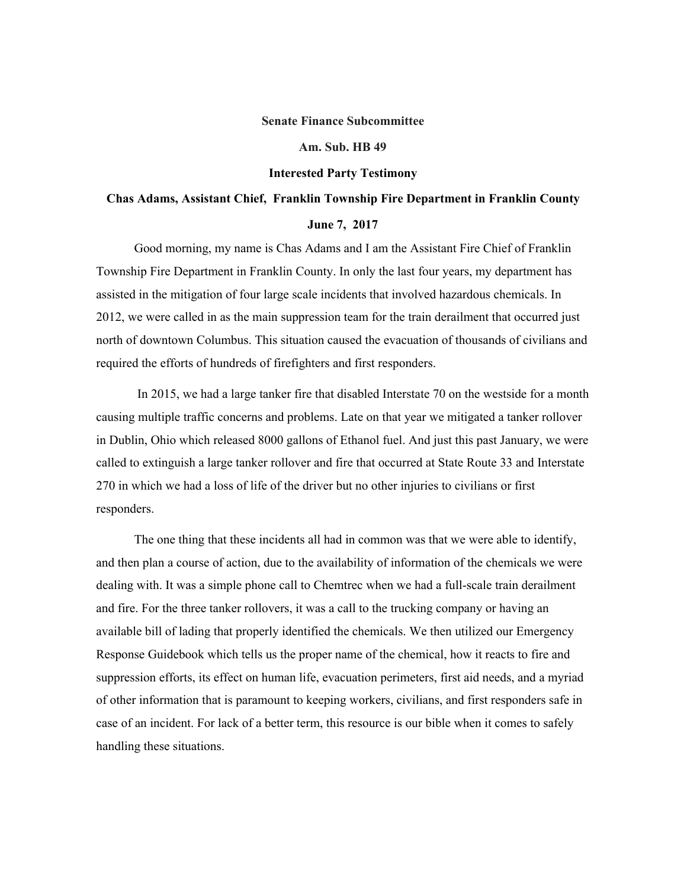## **Senate Finance Subcommittee**

## **Am. Sub. HB 49**

## **Interested Party Testimony**

## **Chas Adams, Assistant Chief, Franklin Township Fire Department in Franklin County June 7, 2017**

Good morning, my name is Chas Adams and I am the Assistant Fire Chief of Franklin Township Fire Department in Franklin County. In only the last four years, my department has assisted in the mitigation of four large scale incidents that involved hazardous chemicals. In 2012, we were called in as the main suppression team for the train derailment that occurred just north of downtown Columbus. This situation caused the evacuation of thousands of civilians and required the efforts of hundreds of firefighters and first responders.

 In 2015, we had a large tanker fire that disabled Interstate 70 on the westside for a month causing multiple traffic concerns and problems. Late on that year we mitigated a tanker rollover in Dublin, Ohio which released 8000 gallons of Ethanol fuel. And just this past January, we were called to extinguish a large tanker rollover and fire that occurred at State Route 33 and Interstate 270 in which we had a loss of life of the driver but no other injuries to civilians or first responders.

The one thing that these incidents all had in common was that we were able to identify, and then plan a course of action, due to the availability of information of the chemicals we were dealing with. It was a simple phone call to Chemtrec when we had a full-scale train derailment and fire. For the three tanker rollovers, it was a call to the trucking company or having an available bill of lading that properly identified the chemicals. We then utilized our Emergency Response Guidebook which tells us the proper name of the chemical, how it reacts to fire and suppression efforts, its effect on human life, evacuation perimeters, first aid needs, and a myriad of other information that is paramount to keeping workers, civilians, and first responders safe in case of an incident. For lack of a better term, this resource is our bible when it comes to safely handling these situations.